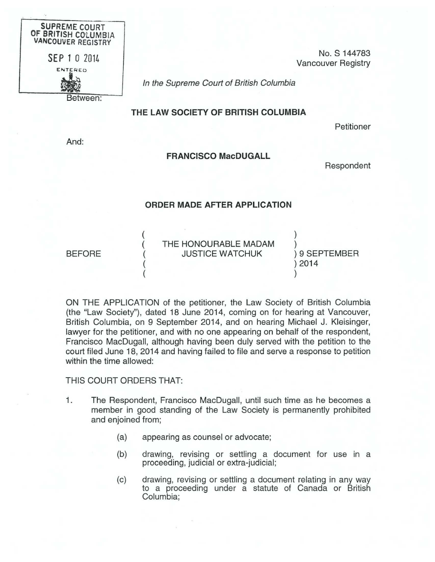

No. S 144783 Vancouver Registry

In the Supreme Court of British Columbia

## THE LAW SOCIETY OF BRITISH COLUMBIA

Petitioner

And:

## FRANCISCO MacDUGALL

Respondent

## ORDER MADE AFTER APPLICATION

BEFORE

THE HONOURABLE MADAM JUSTICE WATCHUK

) ) 9 SEPTEMBER ) 2014 )

)

ON THE APPLICATION of the petitioner, the Law Society of British Columbia (the "Law Society"), dated 18 June 2014, coming on for hearing at Vancouver, British Columbia, on 9 September 2014, and on hearing Michael J. Kleisinger, lawyer for the petitioner, and with no one appearing on behalf of the respondent, Francisco MacDugall, although having been duly served with the petition to the court filed June 18, 2014 and having failed to file and serve a response to petition within the time allowed:

THIS COURT ORDERS THAT:

( ( ( ( (

- 1. The Respondent, Francisco MacDugall, until such time as he becomes a member in good standing of the Law Society is permanently prohibited and enjoined from;
	- (a) appearing as counsel or advocate;
	- (b) drawing, revising or settling a document for use in a proceeding, judicial or extra-judicial;
	- (c) drawing, revising or settling a document relating in any way to a proceeding under a statute of Canada or British Columbia;